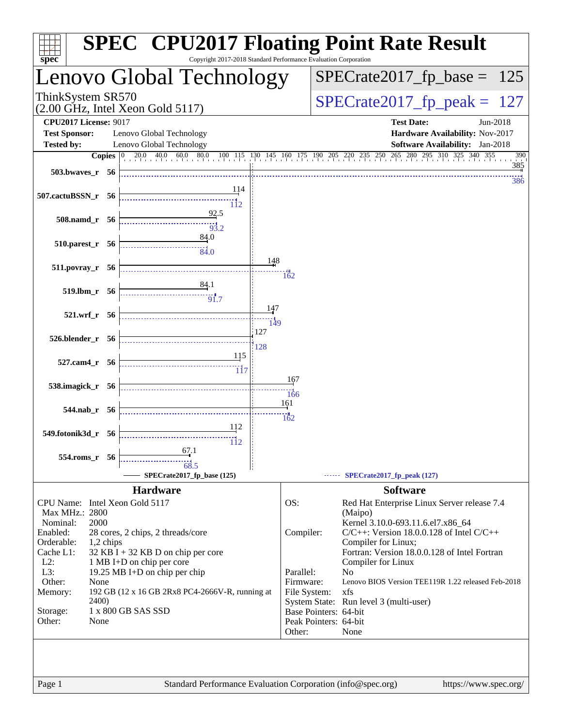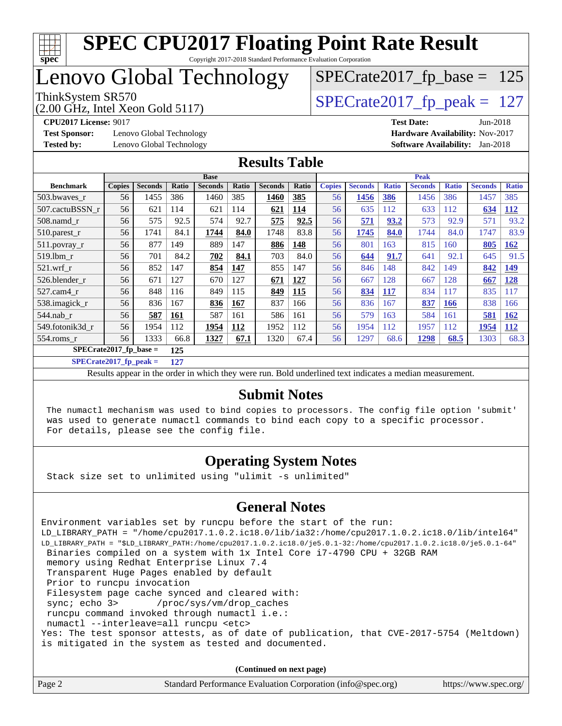

Copyright 2017-2018 Standard Performance Evaluation Corporation

## Lenovo Global Technology

(2.00 GHz, Intel Xeon Gold 5117)

ThinkSystem SR570<br>(2.00 GHz, Intel Xeon Gold 5117) [SPECrate2017\\_fp\\_peak =](http://www.spec.org/auto/cpu2017/Docs/result-fields.html#SPECrate2017fppeak) 127

 $SPECTate2017_fp\_base = 125$ 

**[Test Sponsor:](http://www.spec.org/auto/cpu2017/Docs/result-fields.html#TestSponsor)** Lenovo Global Technology **[Hardware Availability:](http://www.spec.org/auto/cpu2017/Docs/result-fields.html#HardwareAvailability)** Nov-2017 **[Tested by:](http://www.spec.org/auto/cpu2017/Docs/result-fields.html#Testedby)** Lenovo Global Technology **[Software Availability:](http://www.spec.org/auto/cpu2017/Docs/result-fields.html#SoftwareAvailability)** Jan-2018

**[CPU2017 License:](http://www.spec.org/auto/cpu2017/Docs/result-fields.html#CPU2017License)** 9017 **[Test Date:](http://www.spec.org/auto/cpu2017/Docs/result-fields.html#TestDate)** Jun-2018

#### **[Results Table](http://www.spec.org/auto/cpu2017/Docs/result-fields.html#ResultsTable)**

|                                 | <b>Base</b>   |                |       |                | <b>Peak</b> |                |       |               |                |              |                |              |                |              |
|---------------------------------|---------------|----------------|-------|----------------|-------------|----------------|-------|---------------|----------------|--------------|----------------|--------------|----------------|--------------|
| <b>Benchmark</b>                | <b>Copies</b> | <b>Seconds</b> | Ratio | <b>Seconds</b> | Ratio       | <b>Seconds</b> | Ratio | <b>Copies</b> | <b>Seconds</b> | <b>Ratio</b> | <b>Seconds</b> | <b>Ratio</b> | <b>Seconds</b> | <b>Ratio</b> |
| 503.bwayes r                    | 56            | 1455           | 386   | 1460           | 385         | 1460           | 385   | 56            | 1456           | 386          | 1456           | 386          | 1457           | 385          |
| 507.cactuBSSN r                 | 56            | 621            | 114   | 621            | 114         | 621            | 114   | 56            | 635            | 112          | 633            | 112          | 634            | <u>112</u>   |
| $508$ .namd $r$                 | 56            | 575            | 92.5  | 574            | 92.7        | 575            | 92.5  | 56            | 571            | 93.2         | 573            | 92.9         | 571            | 93.2         |
| 510.parest_r                    | 56            | 1741           | 84.1  | 1744           | 84.0        | 1748           | 83.8  | 56            | 1745           | 84.0         | 1744           | 84.0         | 1747           | 83.9         |
| 511.povray_r                    | 56            | 877            | 149   | 889            | 147         | 886            | 148   | 56            | 801            | 163          | 815            | 160          | 805            | <b>162</b>   |
| $519$ .lbm $r$                  | 56            | 701            | 84.2  | 702            | 84.1        | 703            | 84.0  | 56            | 644            | 91.7         | 641            | 92.1         | 645            | 91.5         |
| $521$ .wrf r                    | 56            | 852            | 147   | 854            | 147         | 855            | 147   | 56            | 846            | 148          | 842            | 149          | 842            | <b>149</b>   |
| 526.blender r                   | 56            | 671            | 127   | 670            | 127         | 671            | 127   | 56            | 667            | 128          | 667            | 128          | 667            | <u>128</u>   |
| $527.cam4_r$                    | 56            | 848            | 116   | 849            | 115         | 849            | 115   | 56            | 834            | 117          | 834            | 117          | 835            | 117          |
| 538.imagick_r                   | 56            | 836            | 167   | 836            | 167         | 837            | 166   | 56            | 836            | 167          | 837            | <b>166</b>   | 838            | 166          |
| $544$ .nab r                    | 56            | 587            | 161   | 587            | 161         | 586            | 161   | 56            | 579            | 163          | 584            | 161          | 581            | <b>162</b>   |
| 549.fotonik3d r                 | 56            | 1954           | 112   | 1954           | 112         | 1952           | 112   | 56            | 1954           | 112          | 1957           | 112          | 1954           | <b>112</b>   |
| $554$ .roms r                   | 56            | 1333           | 66.8  | 1327           | 67.1        | 1320           | 67.4  | 56            | 1297           | 68.6         | 1298           | 68.5         | 1303           | 68.3         |
| $SPECrate2017$ fp base =<br>125 |               |                |       |                |             |                |       |               |                |              |                |              |                |              |

**[SPECrate2017\\_fp\\_peak =](http://www.spec.org/auto/cpu2017/Docs/result-fields.html#SPECrate2017fppeak) 127**

Results appear in the [order in which they were run.](http://www.spec.org/auto/cpu2017/Docs/result-fields.html#RunOrder) Bold underlined text [indicates a median measurement.](http://www.spec.org/auto/cpu2017/Docs/result-fields.html#Median)

#### **[Submit Notes](http://www.spec.org/auto/cpu2017/Docs/result-fields.html#SubmitNotes)**

 The numactl mechanism was used to bind copies to processors. The config file option 'submit' was used to generate numactl commands to bind each copy to a specific processor. For details, please see the config file.

#### **[Operating System Notes](http://www.spec.org/auto/cpu2017/Docs/result-fields.html#OperatingSystemNotes)**

Stack size set to unlimited using "ulimit -s unlimited"

#### **[General Notes](http://www.spec.org/auto/cpu2017/Docs/result-fields.html#GeneralNotes)**

Environment variables set by runcpu before the start of the run: LD\_LIBRARY\_PATH = "/home/cpu2017.1.0.2.ic18.0/lib/ia32:/home/cpu2017.1.0.2.ic18.0/lib/intel64" LD\_LIBRARY\_PATH = "\$LD\_LIBRARY\_PATH:/home/cpu2017.1.0.2.ic18.0/je5.0.1-32:/home/cpu2017.1.0.2.ic18.0/je5.0.1-64" Binaries compiled on a system with 1x Intel Core i7-4790 CPU + 32GB RAM memory using Redhat Enterprise Linux 7.4 Transparent Huge Pages enabled by default Prior to runcpu invocation Filesystem page cache synced and cleared with: sync; echo 3> /proc/sys/vm/drop\_caches runcpu command invoked through numactl i.e.: numactl --interleave=all runcpu <etc> Yes: The test sponsor attests, as of date of publication, that CVE-2017-5754 (Meltdown) is mitigated in the system as tested and documented.

**(Continued on next page)**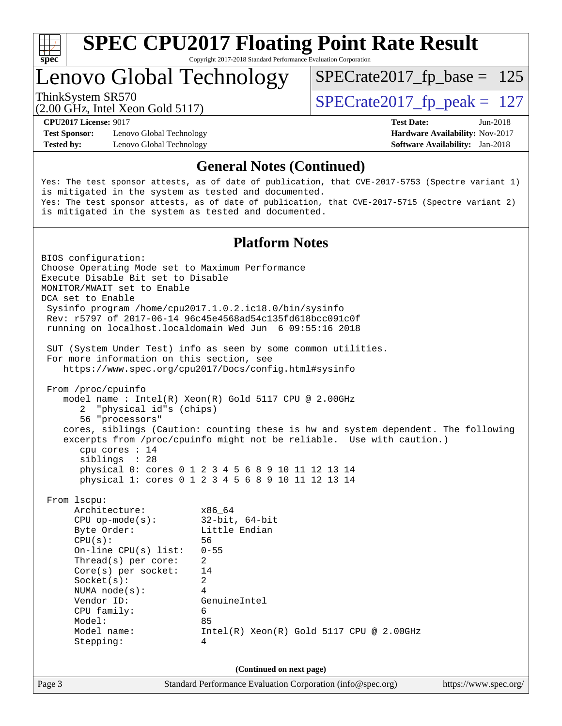

Copyright 2017-2018 Standard Performance Evaluation Corporation

## Lenovo Global Technology

ThinkSystem SR570<br>  $\binom{200}{100}$  [SPECrate2017\\_fp\\_peak =](http://www.spec.org/auto/cpu2017/Docs/result-fields.html#SPECrate2017fppeak) 127

 $SPECTate2017_fp\_base = 125$ 

(2.00 GHz, Intel Xeon Gold 5117)

**[Test Sponsor:](http://www.spec.org/auto/cpu2017/Docs/result-fields.html#TestSponsor)** Lenovo Global Technology **[Hardware Availability:](http://www.spec.org/auto/cpu2017/Docs/result-fields.html#HardwareAvailability)** Nov-2017 **[Tested by:](http://www.spec.org/auto/cpu2017/Docs/result-fields.html#Testedby)** Lenovo Global Technology **[Software Availability:](http://www.spec.org/auto/cpu2017/Docs/result-fields.html#SoftwareAvailability)** Jan-2018

**[CPU2017 License:](http://www.spec.org/auto/cpu2017/Docs/result-fields.html#CPU2017License)** 9017 **[Test Date:](http://www.spec.org/auto/cpu2017/Docs/result-fields.html#TestDate)** Jun-2018

#### **[General Notes \(Continued\)](http://www.spec.org/auto/cpu2017/Docs/result-fields.html#GeneralNotes)**

Yes: The test sponsor attests, as of date of publication, that CVE-2017-5753 (Spectre variant 1) is mitigated in the system as tested and documented. Yes: The test sponsor attests, as of date of publication, that CVE-2017-5715 (Spectre variant 2) is mitigated in the system as tested and documented.

#### **[Platform Notes](http://www.spec.org/auto/cpu2017/Docs/result-fields.html#PlatformNotes)**

Page 3 Standard Performance Evaluation Corporation [\(info@spec.org\)](mailto:info@spec.org) <https://www.spec.org/> BIOS configuration: Choose Operating Mode set to Maximum Performance Execute Disable Bit set to Disable MONITOR/MWAIT set to Enable DCA set to Enable Sysinfo program /home/cpu2017.1.0.2.ic18.0/bin/sysinfo Rev: r5797 of 2017-06-14 96c45e4568ad54c135fd618bcc091c0f running on localhost.localdomain Wed Jun 6 09:55:16 2018 SUT (System Under Test) info as seen by some common utilities. For more information on this section, see <https://www.spec.org/cpu2017/Docs/config.html#sysinfo> From /proc/cpuinfo model name : Intel(R) Xeon(R) Gold 5117 CPU @ 2.00GHz 2 "physical id"s (chips) 56 "processors" cores, siblings (Caution: counting these is hw and system dependent. The following excerpts from /proc/cpuinfo might not be reliable. Use with caution.) cpu cores : 14 siblings : 28 physical 0: cores 0 1 2 3 4 5 6 8 9 10 11 12 13 14 physical 1: cores 0 1 2 3 4 5 6 8 9 10 11 12 13 14 From lscpu: Architecture: x86\_64 CPU op-mode(s): 32-bit, 64-bit Byte Order: Little Endian CPU(s): 56 On-line CPU(s) list: 0-55 Thread(s) per core: 2 Core(s) per socket: 14 Socket(s): 2 NUMA node(s): 4 Vendor ID: GenuineIntel CPU family: 6 Model: 85 Model name: Intel(R) Xeon(R) Gold 5117 CPU @ 2.00GHz Stepping: 4 **(Continued on next page)**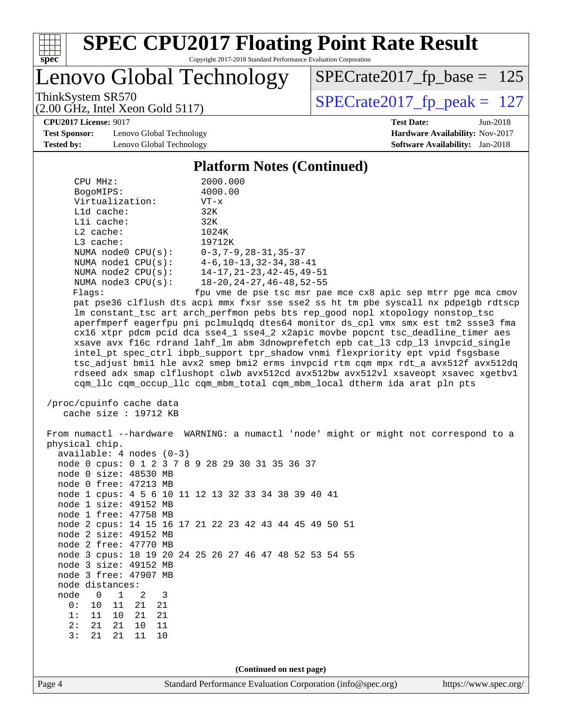

Copyright 2017-2018 Standard Performance Evaluation Corporation

Lenovo Global Technology

ThinkSystem SR570<br>(2.00 GHz, Intel Xeon Gold 5117) [SPECrate2017\\_fp\\_peak =](http://www.spec.org/auto/cpu2017/Docs/result-fields.html#SPECrate2017fppeak) 127

 $SPECTate2017_fp\_base = 125$ 

(2.00 GHz, Intel Xeon Gold 5117) **[CPU2017 License:](http://www.spec.org/auto/cpu2017/Docs/result-fields.html#CPU2017License)** 9017 **[Test Date:](http://www.spec.org/auto/cpu2017/Docs/result-fields.html#TestDate)** Jun-2018

**[Test Sponsor:](http://www.spec.org/auto/cpu2017/Docs/result-fields.html#TestSponsor)** Lenovo Global Technology **[Hardware Availability:](http://www.spec.org/auto/cpu2017/Docs/result-fields.html#HardwareAvailability)** Nov-2017 **[Tested by:](http://www.spec.org/auto/cpu2017/Docs/result-fields.html#Testedby)** Lenovo Global Technology **[Software Availability:](http://www.spec.org/auto/cpu2017/Docs/result-fields.html#SoftwareAvailability)** Jan-2018

**[Platform Notes \(Continued\)](http://www.spec.org/auto/cpu2017/Docs/result-fields.html#PlatformNotes)**

| CPU MHz:                | 2000.000                                      |
|-------------------------|-----------------------------------------------|
| BogoMIPS:               | 4000.00                                       |
| Virtualization:         | $VT - x$                                      |
| $L1d$ cache:            | 32K                                           |
| $L1i$ cache:            | 32K                                           |
| $L2$ cache:             | 1024K                                         |
| $L3$ cache:             | 19712K                                        |
| NUMA $node0$ $CPU(s):$  | $0 - 3$ , $7 - 9$ , $28 - 31$ , $35 - 37$     |
| NUMA $node1$ $CPU(s)$ : | $4-6, 10-13, 32-34, 38-41$                    |
| NUMA $node2$ $CPU(s)$ : | $14 - 17, 21 - 23, 42 - 45, 49 - 51$          |
| NUMA $node3$ $CPU(s)$ : | $18 - 20$ , $24 - 27$ , $46 - 48$ , $52 - 55$ |
|                         |                                               |

Flags: fpu vme de pse tsc msr pae mce cx8 apic sep mtrr pge mca cmov pat pse36 clflush dts acpi mmx fxsr sse sse2 ss ht tm pbe syscall nx pdpe1gb rdtscp lm constant\_tsc art arch\_perfmon pebs bts rep\_good nopl xtopology nonstop\_tsc aperfmperf eagerfpu pni pclmulqdq dtes64 monitor ds\_cpl vmx smx est tm2 ssse3 fma cx16 xtpr pdcm pcid dca sse4\_1 sse4\_2 x2apic movbe popcnt tsc\_deadline\_timer aes xsave avx f16c rdrand lahf\_lm abm 3dnowprefetch epb cat\_l3 cdp\_l3 invpcid\_single intel\_pt spec\_ctrl ibpb\_support tpr\_shadow vnmi flexpriority ept vpid fsgsbase tsc\_adjust bmi1 hle avx2 smep bmi2 erms invpcid rtm cqm mpx rdt\_a avx512f avx512dq rdseed adx smap clflushopt clwb avx512cd avx512bw avx512vl xsaveopt xsavec xgetbv1 cqm\_llc cqm\_occup\_llc cqm\_mbm\_total cqm\_mbm\_local dtherm ida arat pln pts

 /proc/cpuinfo cache data cache size : 19712 KB

Page 4 Standard Performance Evaluation Corporation [\(info@spec.org\)](mailto:info@spec.org) <https://www.spec.org/> From numactl --hardware WARNING: a numactl 'node' might or might not correspond to a physical chip. available: 4 nodes (0-3) node 0 cpus: 0 1 2 3 7 8 9 28 29 30 31 35 36 37 node 0 size: 48530 MB node 0 free: 47213 MB node 1 cpus: 4 5 6 10 11 12 13 32 33 34 38 39 40 41 node 1 size: 49152 MB node 1 free: 47758 MB node 2 cpus: 14 15 16 17 21 22 23 42 43 44 45 49 50 51 node 2 size: 49152 MB node 2 free: 47770 MB node 3 cpus: 18 19 20 24 25 26 27 46 47 48 52 53 54 55 node 3 size: 49152 MB node 3 free: 47907 MB node distances: node 0 1 2 3 0: 10 11 21 21 1: 11 10 21 21 2: 21 21 10 11 3: 21 21 11 10 **(Continued on next page)**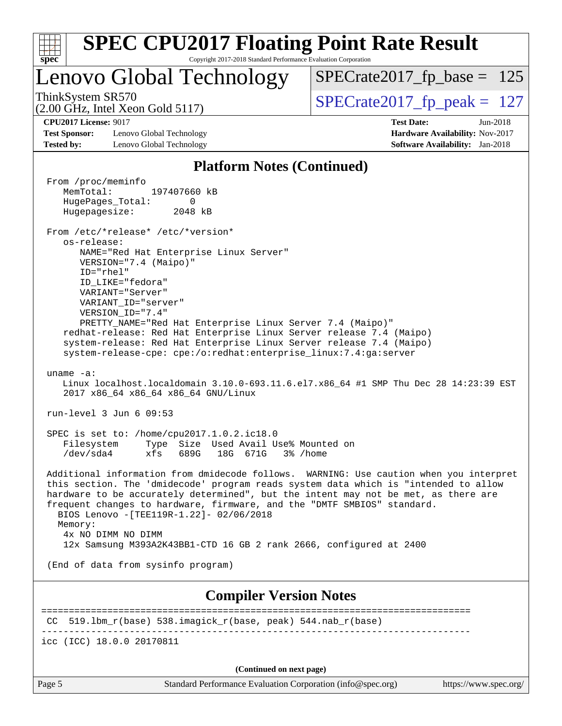| <b>SPEC CPU2017 Floating Point Rate Result</b>                                                                                                                                                                                                                                                                                                                                                                                                                                                                                                                                                                |                                                                                                                     |
|---------------------------------------------------------------------------------------------------------------------------------------------------------------------------------------------------------------------------------------------------------------------------------------------------------------------------------------------------------------------------------------------------------------------------------------------------------------------------------------------------------------------------------------------------------------------------------------------------------------|---------------------------------------------------------------------------------------------------------------------|
| Copyright 2017-2018 Standard Performance Evaluation Corporation<br>$spec^*$<br>Lenovo Global Technology                                                                                                                                                                                                                                                                                                                                                                                                                                                                                                       | $SPECrate2017_fp\_base = 125$                                                                                       |
| ThinkSystem SR570<br>$(2.00 \text{ GHz}, \text{Intel Xeon Gold } 5117)$                                                                                                                                                                                                                                                                                                                                                                                                                                                                                                                                       | $SPECrate2017_fp\_peak = 127$                                                                                       |
| <b>CPU2017 License: 9017</b><br><b>Test Sponsor:</b><br>Lenovo Global Technology<br><b>Tested by:</b><br>Lenovo Global Technology                                                                                                                                                                                                                                                                                                                                                                                                                                                                             | <b>Test Date:</b><br>$Jun-2018$<br><b>Hardware Availability: Nov-2017</b><br><b>Software Availability:</b> Jan-2018 |
| <b>Platform Notes (Continued)</b>                                                                                                                                                                                                                                                                                                                                                                                                                                                                                                                                                                             |                                                                                                                     |
| From /proc/meminfo<br>MemTotal:<br>197407660 kB<br>HugePages_Total:<br>0<br>Hugepagesize:<br>2048 kB<br>From /etc/*release* /etc/*version*<br>os-release:<br>NAME="Red Hat Enterprise Linux Server"<br>VERSION="7.4 (Maipo)"<br>$ID="rhe1"$<br>ID_LIKE="fedora"<br>VARIANT="Server"<br>VARIANT ID="server"<br>VERSION_ID="7.4"<br>PRETTY_NAME="Red Hat Enterprise Linux Server 7.4 (Maipo)"<br>redhat-release: Red Hat Enterprise Linux Server release 7.4 (Maipo)<br>system-release: Red Hat Enterprise Linux Server release 7.4 (Maipo)<br>system-release-cpe: cpe:/o:redhat:enterprise_linux:7.4:ga:server |                                                                                                                     |
| uname $-a$ :<br>Linux localhost.localdomain 3.10.0-693.11.6.el7.x86_64 #1 SMP Thu Dec 28 14:23:39 EST<br>2017 x86_64 x86_64 x86_64 GNU/Linux                                                                                                                                                                                                                                                                                                                                                                                                                                                                  |                                                                                                                     |
| run-level $3$ Jun $6$ 09:53                                                                                                                                                                                                                                                                                                                                                                                                                                                                                                                                                                                   |                                                                                                                     |
| SPEC is set to: /home/cpu2017.1.0.2.ic18.0<br>Filesystem<br>Type Size Used Avail Use% Mounted on<br>/dev/sda4<br>xfs<br>689G<br>18G 671G                                                                                                                                                                                                                                                                                                                                                                                                                                                                      | 3% /home                                                                                                            |
| Additional information from dmidecode follows. WARNING: Use caution when you interpret<br>this section. The 'dmidecode' program reads system data which is "intended to allow<br>hardware to be accurately determined", but the intent may not be met, as there are<br>frequent changes to hardware, firmware, and the "DMTF SMBIOS" standard.<br>BIOS Lenovo - [TEE119R-1.22]- 02/06/2018<br>Memory:<br>4x NO DIMM NO DIMM<br>12x Samsung M393A2K43BB1-CTD 16 GB 2 rank 2666, configured at 2400                                                                                                             |                                                                                                                     |
| (End of data from sysinfo program)                                                                                                                                                                                                                                                                                                                                                                                                                                                                                                                                                                            |                                                                                                                     |
| <b>Compiler Version Notes</b>                                                                                                                                                                                                                                                                                                                                                                                                                                                                                                                                                                                 |                                                                                                                     |
| 519.1bm_r(base) 538.imagick_r(base, peak) 544.nab_r(base)<br>CC                                                                                                                                                                                                                                                                                                                                                                                                                                                                                                                                               | ==========================                                                                                          |
| icc (ICC) 18.0.0 20170811                                                                                                                                                                                                                                                                                                                                                                                                                                                                                                                                                                                     |                                                                                                                     |

**(Continued on next page)**

Page 5 Standard Performance Evaluation Corporation [\(info@spec.org\)](mailto:info@spec.org) <https://www.spec.org/>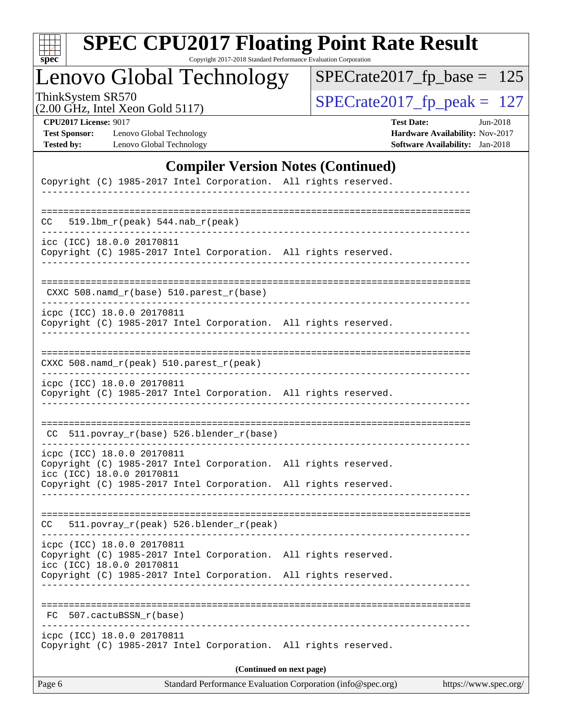| c<br>E<br>S<br>L<br>Ġ. |  |  |  |  |  |
|------------------------|--|--|--|--|--|

Copyright 2017-2018 Standard Performance Evaluation Corporation

# Lenovo Global Technology

ThinkSystem SR570<br>  $(2.00 \text{ GHz})$  Intel Xeon Gold 5117)

[SPECrate2017\\_fp\\_base =](http://www.spec.org/auto/cpu2017/Docs/result-fields.html#SPECrate2017fpbase) 125

|  | $(2.00 \text{ GHz}, \text{Intel Xeon Gold } 5117)$ |  |
|--|----------------------------------------------------|--|
|--|----------------------------------------------------|--|

**[CPU2017 License:](http://www.spec.org/auto/cpu2017/Docs/result-fields.html#CPU2017License)** 9017 **[Test Date:](http://www.spec.org/auto/cpu2017/Docs/result-fields.html#TestDate)** Jun-2018 **[Test Sponsor:](http://www.spec.org/auto/cpu2017/Docs/result-fields.html#TestSponsor)** Lenovo Global Technology **[Hardware Availability:](http://www.spec.org/auto/cpu2017/Docs/result-fields.html#HardwareAvailability)** Nov-2017 **[Tested by:](http://www.spec.org/auto/cpu2017/Docs/result-fields.html#Testedby)** Lenovo Global Technology **[Software Availability:](http://www.spec.org/auto/cpu2017/Docs/result-fields.html#SoftwareAvailability)** Jan-2018

#### **[Compiler Version Notes \(Continued\)](http://www.spec.org/auto/cpu2017/Docs/result-fields.html#CompilerVersionNotes)**

| Page 6 |                                                                                               | Standard Performance Evaluation Corporation (info@spec.org) | https://www.spec.org/ |
|--------|-----------------------------------------------------------------------------------------------|-------------------------------------------------------------|-----------------------|
|        | Copyright (C) 1985-2017 Intel Corporation. All rights reserved.                               | (Continued on next page)                                    |                       |
|        | icpc (ICC) 18.0.0 20170811                                                                    |                                                             |                       |
| FC.    | 507.cactuBSSN r(base)                                                                         |                                                             |                       |
|        |                                                                                               |                                                             |                       |
|        | icc (ICC) 18.0.0 20170811<br>Copyright (C) 1985-2017 Intel Corporation. All rights reserved.  |                                                             |                       |
|        | icpc (ICC) 18.0.0 20170811<br>Copyright (C) 1985-2017 Intel Corporation. All rights reserved. |                                                             |                       |
| CC     | 511.povray_r(peak) 526.blender_r(peak)                                                        |                                                             |                       |
|        |                                                                                               |                                                             |                       |
|        | icc (ICC) 18.0.0 20170811<br>Copyright (C) 1985-2017 Intel Corporation. All rights reserved.  |                                                             |                       |
|        | icpc (ICC) 18.0.0 20170811<br>Copyright (C) 1985-2017 Intel Corporation. All rights reserved. |                                                             |                       |
|        | CC 511.povray_r(base) 526.blender_r(base)                                                     |                                                             |                       |
|        |                                                                                               |                                                             |                       |
|        | icpc (ICC) 18.0.0 20170811<br>Copyright (C) 1985-2017 Intel Corporation. All rights reserved. |                                                             |                       |
|        | $CXXC 508.namd_r (peak) 510.parest_r (peak)$<br>_____________________                         |                                                             |                       |
|        |                                                                                               |                                                             |                       |
|        | icpc (ICC) 18.0.0 20170811<br>Copyright (C) 1985-2017 Intel Corporation. All rights reserved. |                                                             |                       |
|        | CXXC 508.namd_r(base) 510.parest_r(base)                                                      |                                                             |                       |
|        | Copyright (C) 1985-2017 Intel Corporation. All rights reserved.                               |                                                             |                       |
|        | . _ _ _ _ _ _ _ _ _ _ _ _ _ _ _ _ _ .<br>icc (ICC) 18.0.0 20170811                            |                                                             |                       |
| CC     |                                                                                               |                                                             |                       |
|        |                                                                                               |                                                             |                       |
|        | Copyright (C) 1985-2017 Intel Corporation. All rights reserved.                               |                                                             |                       |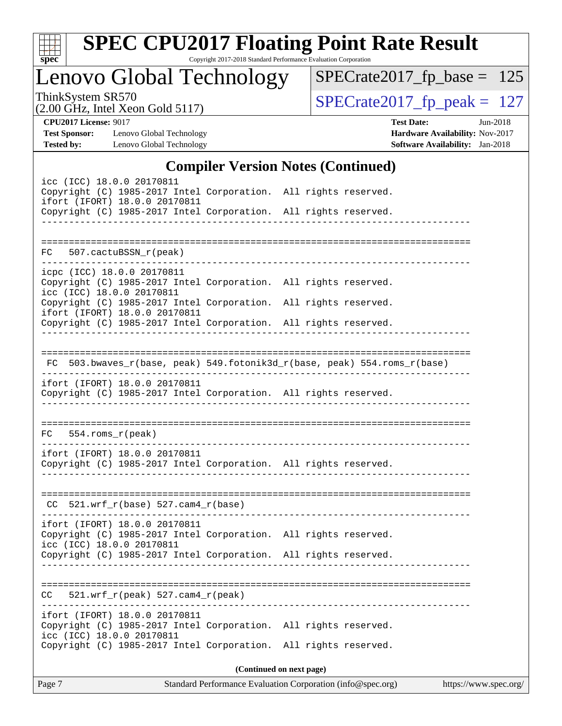| S<br>e<br>U |  |  |  |  |  |
|-------------|--|--|--|--|--|

Copyright 2017-2018 Standard Performance Evaluation Corporation

Lenovo Global Technology

ThinkSystem SR570<br>  $(2.00 \text{ GHz})$  Intel Xeon Gold 5117) [SPECrate2017\\_fp\\_base =](http://www.spec.org/auto/cpu2017/Docs/result-fields.html#SPECrate2017fpbase) 125

(2.00 GHz, Intel Xeon Gold 5117)

**[CPU2017 License:](http://www.spec.org/auto/cpu2017/Docs/result-fields.html#CPU2017License)** 9017 **[Test Date:](http://www.spec.org/auto/cpu2017/Docs/result-fields.html#TestDate)** Jun-2018 **[Test Sponsor:](http://www.spec.org/auto/cpu2017/Docs/result-fields.html#TestSponsor)** Lenovo Global Technology **[Hardware Availability:](http://www.spec.org/auto/cpu2017/Docs/result-fields.html#HardwareAvailability)** Nov-2017 **[Tested by:](http://www.spec.org/auto/cpu2017/Docs/result-fields.html#Testedby)** Lenovo Global Technology **[Software Availability:](http://www.spec.org/auto/cpu2017/Docs/result-fields.html#SoftwareAvailability)** Jan-2018

#### **[Compiler Version Notes \(Continued\)](http://www.spec.org/auto/cpu2017/Docs/result-fields.html#CompilerVersionNotes)**

|                                                                                                                               | $\mathbf{C}$ ompher version rotes ( $\mathbf{C}$ ommuea)                 |
|-------------------------------------------------------------------------------------------------------------------------------|--------------------------------------------------------------------------|
| icc (ICC) 18.0.0 20170811<br>Copyright (C) 1985-2017 Intel Corporation. All rights reserved.<br>ifort (IFORT) 18.0.0 20170811 |                                                                          |
| Copyright (C) 1985-2017 Intel Corporation. All rights reserved.                                                               |                                                                          |
|                                                                                                                               |                                                                          |
| FC 507.cactuBSSN_r(peak)                                                                                                      |                                                                          |
| icpc (ICC) 18.0.0 20170811<br>Copyright (C) 1985-2017 Intel Corporation. All rights reserved.                                 |                                                                          |
| icc (ICC) 18.0.0 20170811<br>Copyright (C) 1985-2017 Intel Corporation. All rights reserved.<br>ifort (IFORT) 18.0.0 20170811 |                                                                          |
| Copyright (C) 1985-2017 Intel Corporation. All rights reserved.                                                               |                                                                          |
|                                                                                                                               |                                                                          |
|                                                                                                                               | FC 503.bwaves_r(base, peak) 549.fotonik3d_r(base, peak) 554.roms_r(base) |
| ifort (IFORT) 18.0.0 20170811<br>Copyright (C) 1985-2017 Intel Corporation. All rights reserved.                              |                                                                          |
| $FC 554.rows_r (peak)$                                                                                                        |                                                                          |
| ifort (IFORT) 18.0.0 20170811                                                                                                 |                                                                          |
| Copyright (C) 1985-2017 Intel Corporation. All rights reserved.                                                               |                                                                          |
| $CC$ 521.wrf_r(base) 527.cam4_r(base)                                                                                         |                                                                          |
| ifort (IFORT) 18.0.0 20170811                                                                                                 |                                                                          |
| Copyright (C) 1985-2017 Intel Corporation. All rights reserved.<br>icc (ICC) 18.0.0 20170811                                  |                                                                          |
| Copyright (C) 1985-2017 Intel Corporation. All rights reserved.                                                               |                                                                          |
|                                                                                                                               |                                                                          |
| 521.wrf_r(peak) 527.cam4_r(peak)<br>CC.                                                                                       |                                                                          |
| ifort (IFORT) 18.0.0 20170811<br>Copyright (C) 1985-2017 Intel Corporation. All rights reserved.<br>icc (ICC) 18.0.0 20170811 |                                                                          |
| Copyright (C) 1985-2017 Intel Corporation. All rights reserved.                                                               |                                                                          |
|                                                                                                                               | (Continued on next page)                                                 |
|                                                                                                                               |                                                                          |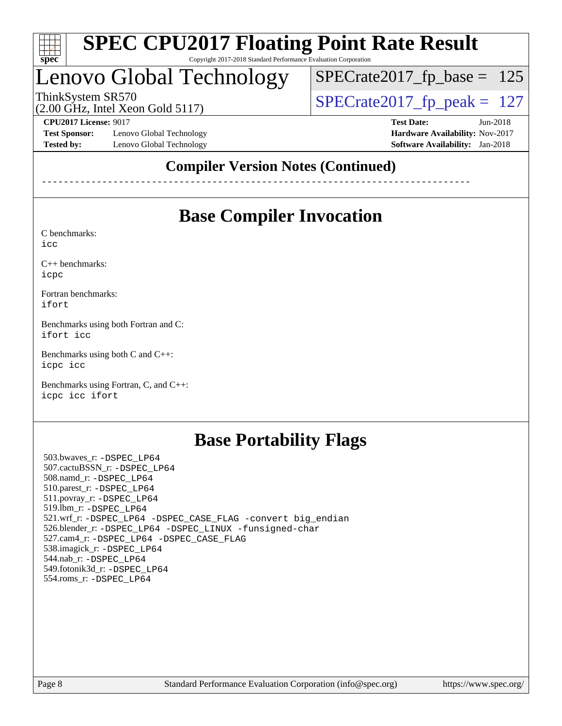

Copyright 2017-2018 Standard Performance Evaluation Corporation

# Lenovo Global Technology

ThinkSystem SR570<br>(2.00 GHz, Intel Xeon Gold 5117) [SPECrate2017\\_fp\\_peak =](http://www.spec.org/auto/cpu2017/Docs/result-fields.html#SPECrate2017fppeak) 127 [SPECrate2017\\_fp\\_base =](http://www.spec.org/auto/cpu2017/Docs/result-fields.html#SPECrate2017fpbase) 125

(2.00 GHz, Intel Xeon Gold 5117)

**[Test Sponsor:](http://www.spec.org/auto/cpu2017/Docs/result-fields.html#TestSponsor)** Lenovo Global Technology **[Hardware Availability:](http://www.spec.org/auto/cpu2017/Docs/result-fields.html#HardwareAvailability)** Nov-2017 **[Tested by:](http://www.spec.org/auto/cpu2017/Docs/result-fields.html#Testedby)** Lenovo Global Technology **[Software Availability:](http://www.spec.org/auto/cpu2017/Docs/result-fields.html#SoftwareAvailability)** Jan-2018

**[CPU2017 License:](http://www.spec.org/auto/cpu2017/Docs/result-fields.html#CPU2017License)** 9017 **[Test Date:](http://www.spec.org/auto/cpu2017/Docs/result-fields.html#TestDate)** Jun-2018

#### **[Compiler Version Notes \(Continued\)](http://www.spec.org/auto/cpu2017/Docs/result-fields.html#CompilerVersionNotes)**

------------------------------------------------------------------------------

## **[Base Compiler Invocation](http://www.spec.org/auto/cpu2017/Docs/result-fields.html#BaseCompilerInvocation)**

[C benchmarks](http://www.spec.org/auto/cpu2017/Docs/result-fields.html#Cbenchmarks): [icc](http://www.spec.org/cpu2017/results/res2018q2/cpu2017-20180612-06992.flags.html#user_CCbase_intel_icc_18.0_66fc1ee009f7361af1fbd72ca7dcefbb700085f36577c54f309893dd4ec40d12360134090235512931783d35fd58c0460139e722d5067c5574d8eaf2b3e37e92)

[C++ benchmarks:](http://www.spec.org/auto/cpu2017/Docs/result-fields.html#CXXbenchmarks)

[icpc](http://www.spec.org/cpu2017/results/res2018q2/cpu2017-20180612-06992.flags.html#user_CXXbase_intel_icpc_18.0_c510b6838c7f56d33e37e94d029a35b4a7bccf4766a728ee175e80a419847e808290a9b78be685c44ab727ea267ec2f070ec5dc83b407c0218cded6866a35d07)

[Fortran benchmarks](http://www.spec.org/auto/cpu2017/Docs/result-fields.html#Fortranbenchmarks): [ifort](http://www.spec.org/cpu2017/results/res2018q2/cpu2017-20180612-06992.flags.html#user_FCbase_intel_ifort_18.0_8111460550e3ca792625aed983ce982f94888b8b503583aa7ba2b8303487b4d8a21a13e7191a45c5fd58ff318f48f9492884d4413fa793fd88dd292cad7027ca)

[Benchmarks using both Fortran and C](http://www.spec.org/auto/cpu2017/Docs/result-fields.html#BenchmarksusingbothFortranandC): [ifort](http://www.spec.org/cpu2017/results/res2018q2/cpu2017-20180612-06992.flags.html#user_CC_FCbase_intel_ifort_18.0_8111460550e3ca792625aed983ce982f94888b8b503583aa7ba2b8303487b4d8a21a13e7191a45c5fd58ff318f48f9492884d4413fa793fd88dd292cad7027ca) [icc](http://www.spec.org/cpu2017/results/res2018q2/cpu2017-20180612-06992.flags.html#user_CC_FCbase_intel_icc_18.0_66fc1ee009f7361af1fbd72ca7dcefbb700085f36577c54f309893dd4ec40d12360134090235512931783d35fd58c0460139e722d5067c5574d8eaf2b3e37e92)

[Benchmarks using both C and C++](http://www.spec.org/auto/cpu2017/Docs/result-fields.html#BenchmarksusingbothCandCXX): [icpc](http://www.spec.org/cpu2017/results/res2018q2/cpu2017-20180612-06992.flags.html#user_CC_CXXbase_intel_icpc_18.0_c510b6838c7f56d33e37e94d029a35b4a7bccf4766a728ee175e80a419847e808290a9b78be685c44ab727ea267ec2f070ec5dc83b407c0218cded6866a35d07) [icc](http://www.spec.org/cpu2017/results/res2018q2/cpu2017-20180612-06992.flags.html#user_CC_CXXbase_intel_icc_18.0_66fc1ee009f7361af1fbd72ca7dcefbb700085f36577c54f309893dd4ec40d12360134090235512931783d35fd58c0460139e722d5067c5574d8eaf2b3e37e92)

[Benchmarks using Fortran, C, and C++:](http://www.spec.org/auto/cpu2017/Docs/result-fields.html#BenchmarksusingFortranCandCXX) [icpc](http://www.spec.org/cpu2017/results/res2018q2/cpu2017-20180612-06992.flags.html#user_CC_CXX_FCbase_intel_icpc_18.0_c510b6838c7f56d33e37e94d029a35b4a7bccf4766a728ee175e80a419847e808290a9b78be685c44ab727ea267ec2f070ec5dc83b407c0218cded6866a35d07) [icc](http://www.spec.org/cpu2017/results/res2018q2/cpu2017-20180612-06992.flags.html#user_CC_CXX_FCbase_intel_icc_18.0_66fc1ee009f7361af1fbd72ca7dcefbb700085f36577c54f309893dd4ec40d12360134090235512931783d35fd58c0460139e722d5067c5574d8eaf2b3e37e92) [ifort](http://www.spec.org/cpu2017/results/res2018q2/cpu2017-20180612-06992.flags.html#user_CC_CXX_FCbase_intel_ifort_18.0_8111460550e3ca792625aed983ce982f94888b8b503583aa7ba2b8303487b4d8a21a13e7191a45c5fd58ff318f48f9492884d4413fa793fd88dd292cad7027ca)

### **[Base Portability Flags](http://www.spec.org/auto/cpu2017/Docs/result-fields.html#BasePortabilityFlags)**

 503.bwaves\_r: [-DSPEC\\_LP64](http://www.spec.org/cpu2017/results/res2018q2/cpu2017-20180612-06992.flags.html#suite_basePORTABILITY503_bwaves_r_DSPEC_LP64) 507.cactuBSSN\_r: [-DSPEC\\_LP64](http://www.spec.org/cpu2017/results/res2018q2/cpu2017-20180612-06992.flags.html#suite_basePORTABILITY507_cactuBSSN_r_DSPEC_LP64) 508.namd\_r: [-DSPEC\\_LP64](http://www.spec.org/cpu2017/results/res2018q2/cpu2017-20180612-06992.flags.html#suite_basePORTABILITY508_namd_r_DSPEC_LP64) 510.parest\_r: [-DSPEC\\_LP64](http://www.spec.org/cpu2017/results/res2018q2/cpu2017-20180612-06992.flags.html#suite_basePORTABILITY510_parest_r_DSPEC_LP64) 511.povray\_r: [-DSPEC\\_LP64](http://www.spec.org/cpu2017/results/res2018q2/cpu2017-20180612-06992.flags.html#suite_basePORTABILITY511_povray_r_DSPEC_LP64) 519.lbm\_r: [-DSPEC\\_LP64](http://www.spec.org/cpu2017/results/res2018q2/cpu2017-20180612-06992.flags.html#suite_basePORTABILITY519_lbm_r_DSPEC_LP64) 521.wrf\_r: [-DSPEC\\_LP64](http://www.spec.org/cpu2017/results/res2018q2/cpu2017-20180612-06992.flags.html#suite_basePORTABILITY521_wrf_r_DSPEC_LP64) [-DSPEC\\_CASE\\_FLAG](http://www.spec.org/cpu2017/results/res2018q2/cpu2017-20180612-06992.flags.html#b521.wrf_r_baseCPORTABILITY_DSPEC_CASE_FLAG) [-convert big\\_endian](http://www.spec.org/cpu2017/results/res2018q2/cpu2017-20180612-06992.flags.html#user_baseFPORTABILITY521_wrf_r_convert_big_endian_c3194028bc08c63ac5d04de18c48ce6d347e4e562e8892b8bdbdc0214820426deb8554edfa529a3fb25a586e65a3d812c835984020483e7e73212c4d31a38223) 526.blender\_r: [-DSPEC\\_LP64](http://www.spec.org/cpu2017/results/res2018q2/cpu2017-20180612-06992.flags.html#suite_basePORTABILITY526_blender_r_DSPEC_LP64) [-DSPEC\\_LINUX](http://www.spec.org/cpu2017/results/res2018q2/cpu2017-20180612-06992.flags.html#b526.blender_r_baseCPORTABILITY_DSPEC_LINUX) [-funsigned-char](http://www.spec.org/cpu2017/results/res2018q2/cpu2017-20180612-06992.flags.html#user_baseCPORTABILITY526_blender_r_force_uchar_40c60f00ab013830e2dd6774aeded3ff59883ba5a1fc5fc14077f794d777847726e2a5858cbc7672e36e1b067e7e5c1d9a74f7176df07886a243d7cc18edfe67) 527.cam4\_r: [-DSPEC\\_LP64](http://www.spec.org/cpu2017/results/res2018q2/cpu2017-20180612-06992.flags.html#suite_basePORTABILITY527_cam4_r_DSPEC_LP64) [-DSPEC\\_CASE\\_FLAG](http://www.spec.org/cpu2017/results/res2018q2/cpu2017-20180612-06992.flags.html#b527.cam4_r_baseCPORTABILITY_DSPEC_CASE_FLAG) 538.imagick\_r: [-DSPEC\\_LP64](http://www.spec.org/cpu2017/results/res2018q2/cpu2017-20180612-06992.flags.html#suite_basePORTABILITY538_imagick_r_DSPEC_LP64) 544.nab\_r: [-DSPEC\\_LP64](http://www.spec.org/cpu2017/results/res2018q2/cpu2017-20180612-06992.flags.html#suite_basePORTABILITY544_nab_r_DSPEC_LP64) 549.fotonik3d\_r: [-DSPEC\\_LP64](http://www.spec.org/cpu2017/results/res2018q2/cpu2017-20180612-06992.flags.html#suite_basePORTABILITY549_fotonik3d_r_DSPEC_LP64) 554.roms\_r: [-DSPEC\\_LP64](http://www.spec.org/cpu2017/results/res2018q2/cpu2017-20180612-06992.flags.html#suite_basePORTABILITY554_roms_r_DSPEC_LP64)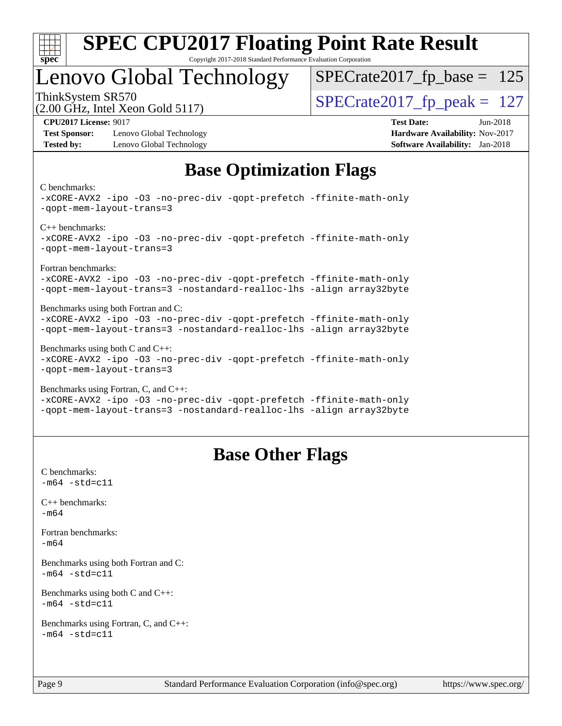

#### **[SPEC CPU2017 Floating Point Rate Result](http://www.spec.org/auto/cpu2017/Docs/result-fields.html#SPECCPU2017FloatingPointRateResult)** Copyright 2017-2018 Standard Performance Evaluation Corporation

## Lenovo Global Technology

ThinkSystem SR570<br>  $\overline{SPEC}$ rate2017\_fp\_peak = 127  $SPECTate2017_fp\_base = 125$ 

(2.00 GHz, Intel Xeon Gold 5117)

**[Test Sponsor:](http://www.spec.org/auto/cpu2017/Docs/result-fields.html#TestSponsor)** Lenovo Global Technology **[Hardware Availability:](http://www.spec.org/auto/cpu2017/Docs/result-fields.html#HardwareAvailability)** Nov-2017 **[Tested by:](http://www.spec.org/auto/cpu2017/Docs/result-fields.html#Testedby)** Lenovo Global Technology **[Software Availability:](http://www.spec.org/auto/cpu2017/Docs/result-fields.html#SoftwareAvailability)** Jan-2018

**[CPU2017 License:](http://www.spec.org/auto/cpu2017/Docs/result-fields.html#CPU2017License)** 9017 **[Test Date:](http://www.spec.org/auto/cpu2017/Docs/result-fields.html#TestDate)** Jun-2018

## **[Base Optimization Flags](http://www.spec.org/auto/cpu2017/Docs/result-fields.html#BaseOptimizationFlags)**

#### [C benchmarks](http://www.spec.org/auto/cpu2017/Docs/result-fields.html#Cbenchmarks):

```
-xCORE-AVX2 -ipo -O3 -no-prec-div -qopt-prefetch -ffinite-math-only
-qopt-mem-layout-trans=3
C++ benchmarks: 
-xCORE-AVX2 -ipo -O3 -no-prec-div -qopt-prefetch -ffinite-math-only
-qopt-mem-layout-trans=3
Fortran benchmarks: 
-xCORE-AVX2 -ipo -O3 -no-prec-div -qopt-prefetch -ffinite-math-only
-qopt-mem-layout-trans=3 -nostandard-realloc-lhs -align array32byte
Benchmarks using both Fortran and C: 
-xCORE-AVX2 -ipo -O3 -no-prec-div -qopt-prefetch -ffinite-math-only
-qopt-mem-layout-trans=3 -nostandard-realloc-lhs -align array32byte
Benchmarks using both C and C++: 
-xCORE-AVX2 -ipo -O3 -no-prec-div -qopt-prefetch -ffinite-math-only
-qopt-mem-layout-trans=3
Benchmarks using Fortran, C, and C++:
```
#### [-xCORE-AVX2](http://www.spec.org/cpu2017/results/res2018q2/cpu2017-20180612-06992.flags.html#user_CC_CXX_FCbase_f-xCORE-AVX2) [-ipo](http://www.spec.org/cpu2017/results/res2018q2/cpu2017-20180612-06992.flags.html#user_CC_CXX_FCbase_f-ipo) [-O3](http://www.spec.org/cpu2017/results/res2018q2/cpu2017-20180612-06992.flags.html#user_CC_CXX_FCbase_f-O3) [-no-prec-div](http://www.spec.org/cpu2017/results/res2018q2/cpu2017-20180612-06992.flags.html#user_CC_CXX_FCbase_f-no-prec-div) [-qopt-prefetch](http://www.spec.org/cpu2017/results/res2018q2/cpu2017-20180612-06992.flags.html#user_CC_CXX_FCbase_f-qopt-prefetch) [-ffinite-math-only](http://www.spec.org/cpu2017/results/res2018q2/cpu2017-20180612-06992.flags.html#user_CC_CXX_FCbase_f_finite_math_only_cb91587bd2077682c4b38af759c288ed7c732db004271a9512da14a4f8007909a5f1427ecbf1a0fb78ff2a814402c6114ac565ca162485bbcae155b5e4258871) [-qopt-mem-layout-trans=3](http://www.spec.org/cpu2017/results/res2018q2/cpu2017-20180612-06992.flags.html#user_CC_CXX_FCbase_f-qopt-mem-layout-trans_de80db37974c74b1f0e20d883f0b675c88c3b01e9d123adea9b28688d64333345fb62bc4a798493513fdb68f60282f9a726aa07f478b2f7113531aecce732043) [-nostandard-realloc-lhs](http://www.spec.org/cpu2017/results/res2018q2/cpu2017-20180612-06992.flags.html#user_CC_CXX_FCbase_f_2003_std_realloc_82b4557e90729c0f113870c07e44d33d6f5a304b4f63d4c15d2d0f1fab99f5daaed73bdb9275d9ae411527f28b936061aa8b9c8f2d63842963b95c9dd6426b8a) [-align array32byte](http://www.spec.org/cpu2017/results/res2018q2/cpu2017-20180612-06992.flags.html#user_CC_CXX_FCbase_align_array32byte_b982fe038af199962ba9a80c053b8342c548c85b40b8e86eb3cc33dee0d7986a4af373ac2d51c3f7cf710a18d62fdce2948f201cd044323541f22fc0fffc51b6)

#### **[Base Other Flags](http://www.spec.org/auto/cpu2017/Docs/result-fields.html#BaseOtherFlags)**

[C benchmarks](http://www.spec.org/auto/cpu2017/Docs/result-fields.html#Cbenchmarks):  $-m64 - std = c11$  $-m64 - std = c11$ [C++ benchmarks:](http://www.spec.org/auto/cpu2017/Docs/result-fields.html#CXXbenchmarks) [-m64](http://www.spec.org/cpu2017/results/res2018q2/cpu2017-20180612-06992.flags.html#user_CXXbase_intel_intel64_18.0_af43caccfc8ded86e7699f2159af6efc7655f51387b94da716254467f3c01020a5059329e2569e4053f409e7c9202a7efc638f7a6d1ffb3f52dea4a3e31d82ab) [Fortran benchmarks](http://www.spec.org/auto/cpu2017/Docs/result-fields.html#Fortranbenchmarks): [-m64](http://www.spec.org/cpu2017/results/res2018q2/cpu2017-20180612-06992.flags.html#user_FCbase_intel_intel64_18.0_af43caccfc8ded86e7699f2159af6efc7655f51387b94da716254467f3c01020a5059329e2569e4053f409e7c9202a7efc638f7a6d1ffb3f52dea4a3e31d82ab) [Benchmarks using both Fortran and C](http://www.spec.org/auto/cpu2017/Docs/result-fields.html#BenchmarksusingbothFortranandC):  $-m64$   $-std=cl1$ [Benchmarks using both C and C++](http://www.spec.org/auto/cpu2017/Docs/result-fields.html#BenchmarksusingbothCandCXX):  $-m64 - std= c11$  $-m64 - std= c11$ [Benchmarks using Fortran, C, and C++:](http://www.spec.org/auto/cpu2017/Docs/result-fields.html#BenchmarksusingFortranCandCXX)  $-m64 - std = c11$  $-m64 - std = c11$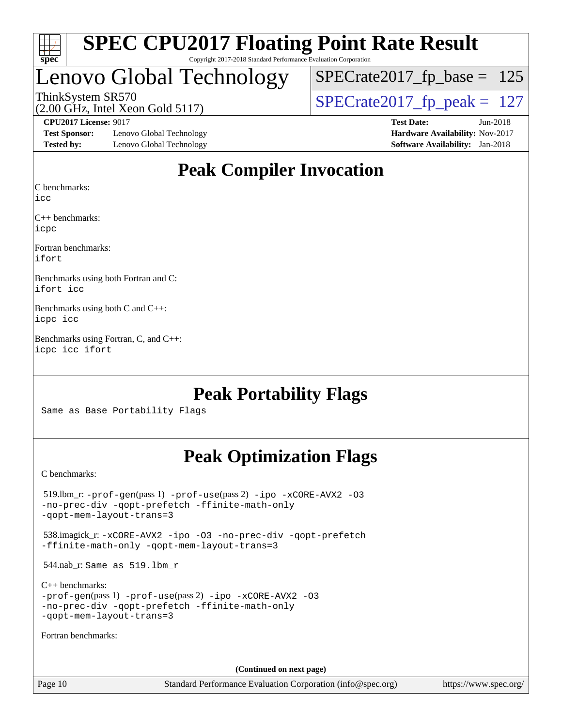

#### **[SPEC CPU2017 Floating Point Rate Result](http://www.spec.org/auto/cpu2017/Docs/result-fields.html#SPECCPU2017FloatingPointRateResult)** Copyright 2017-2018 Standard Performance Evaluation Corporation

# Lenovo Global Technology

ThinkSystem SR570<br>(2.00 GHz, Intel Xeon Gold 5117) [SPECrate2017\\_fp\\_peak =](http://www.spec.org/auto/cpu2017/Docs/result-fields.html#SPECrate2017fppeak) 127  $SPECTate2017_fp\_base = 125$ 

(2.00 GHz, Intel Xeon Gold 5117)

**[Test Sponsor:](http://www.spec.org/auto/cpu2017/Docs/result-fields.html#TestSponsor)** Lenovo Global Technology **[Hardware Availability:](http://www.spec.org/auto/cpu2017/Docs/result-fields.html#HardwareAvailability)** Nov-2017 **[Tested by:](http://www.spec.org/auto/cpu2017/Docs/result-fields.html#Testedby)** Lenovo Global Technology **[Software Availability:](http://www.spec.org/auto/cpu2017/Docs/result-fields.html#SoftwareAvailability)** Jan-2018

**[CPU2017 License:](http://www.spec.org/auto/cpu2017/Docs/result-fields.html#CPU2017License)** 9017 **[Test Date:](http://www.spec.org/auto/cpu2017/Docs/result-fields.html#TestDate)** Jun-2018

## **[Peak Compiler Invocation](http://www.spec.org/auto/cpu2017/Docs/result-fields.html#PeakCompilerInvocation)**

[C benchmarks](http://www.spec.org/auto/cpu2017/Docs/result-fields.html#Cbenchmarks):

[icc](http://www.spec.org/cpu2017/results/res2018q2/cpu2017-20180612-06992.flags.html#user_CCpeak_intel_icc_18.0_66fc1ee009f7361af1fbd72ca7dcefbb700085f36577c54f309893dd4ec40d12360134090235512931783d35fd58c0460139e722d5067c5574d8eaf2b3e37e92)

[C++ benchmarks:](http://www.spec.org/auto/cpu2017/Docs/result-fields.html#CXXbenchmarks) [icpc](http://www.spec.org/cpu2017/results/res2018q2/cpu2017-20180612-06992.flags.html#user_CXXpeak_intel_icpc_18.0_c510b6838c7f56d33e37e94d029a35b4a7bccf4766a728ee175e80a419847e808290a9b78be685c44ab727ea267ec2f070ec5dc83b407c0218cded6866a35d07)

[Fortran benchmarks](http://www.spec.org/auto/cpu2017/Docs/result-fields.html#Fortranbenchmarks): [ifort](http://www.spec.org/cpu2017/results/res2018q2/cpu2017-20180612-06992.flags.html#user_FCpeak_intel_ifort_18.0_8111460550e3ca792625aed983ce982f94888b8b503583aa7ba2b8303487b4d8a21a13e7191a45c5fd58ff318f48f9492884d4413fa793fd88dd292cad7027ca)

[Benchmarks using both Fortran and C](http://www.spec.org/auto/cpu2017/Docs/result-fields.html#BenchmarksusingbothFortranandC): [ifort](http://www.spec.org/cpu2017/results/res2018q2/cpu2017-20180612-06992.flags.html#user_CC_FCpeak_intel_ifort_18.0_8111460550e3ca792625aed983ce982f94888b8b503583aa7ba2b8303487b4d8a21a13e7191a45c5fd58ff318f48f9492884d4413fa793fd88dd292cad7027ca) [icc](http://www.spec.org/cpu2017/results/res2018q2/cpu2017-20180612-06992.flags.html#user_CC_FCpeak_intel_icc_18.0_66fc1ee009f7361af1fbd72ca7dcefbb700085f36577c54f309893dd4ec40d12360134090235512931783d35fd58c0460139e722d5067c5574d8eaf2b3e37e92)

[Benchmarks using both C and C++:](http://www.spec.org/auto/cpu2017/Docs/result-fields.html#BenchmarksusingbothCandCXX) [icpc](http://www.spec.org/cpu2017/results/res2018q2/cpu2017-20180612-06992.flags.html#user_CC_CXXpeak_intel_icpc_18.0_c510b6838c7f56d33e37e94d029a35b4a7bccf4766a728ee175e80a419847e808290a9b78be685c44ab727ea267ec2f070ec5dc83b407c0218cded6866a35d07) [icc](http://www.spec.org/cpu2017/results/res2018q2/cpu2017-20180612-06992.flags.html#user_CC_CXXpeak_intel_icc_18.0_66fc1ee009f7361af1fbd72ca7dcefbb700085f36577c54f309893dd4ec40d12360134090235512931783d35fd58c0460139e722d5067c5574d8eaf2b3e37e92)

[Benchmarks using Fortran, C, and C++](http://www.spec.org/auto/cpu2017/Docs/result-fields.html#BenchmarksusingFortranCandCXX): [icpc](http://www.spec.org/cpu2017/results/res2018q2/cpu2017-20180612-06992.flags.html#user_CC_CXX_FCpeak_intel_icpc_18.0_c510b6838c7f56d33e37e94d029a35b4a7bccf4766a728ee175e80a419847e808290a9b78be685c44ab727ea267ec2f070ec5dc83b407c0218cded6866a35d07) [icc](http://www.spec.org/cpu2017/results/res2018q2/cpu2017-20180612-06992.flags.html#user_CC_CXX_FCpeak_intel_icc_18.0_66fc1ee009f7361af1fbd72ca7dcefbb700085f36577c54f309893dd4ec40d12360134090235512931783d35fd58c0460139e722d5067c5574d8eaf2b3e37e92) [ifort](http://www.spec.org/cpu2017/results/res2018q2/cpu2017-20180612-06992.flags.html#user_CC_CXX_FCpeak_intel_ifort_18.0_8111460550e3ca792625aed983ce982f94888b8b503583aa7ba2b8303487b4d8a21a13e7191a45c5fd58ff318f48f9492884d4413fa793fd88dd292cad7027ca)

### **[Peak Portability Flags](http://www.spec.org/auto/cpu2017/Docs/result-fields.html#PeakPortabilityFlags)**

Same as Base Portability Flags

## **[Peak Optimization Flags](http://www.spec.org/auto/cpu2017/Docs/result-fields.html#PeakOptimizationFlags)**

[C benchmarks](http://www.spec.org/auto/cpu2017/Docs/result-fields.html#Cbenchmarks):

 519.lbm\_r: [-prof-gen](http://www.spec.org/cpu2017/results/res2018q2/cpu2017-20180612-06992.flags.html#user_peakPASS1_CFLAGSPASS1_LDFLAGS519_lbm_r_prof_gen_5aa4926d6013ddb2a31985c654b3eb18169fc0c6952a63635c234f711e6e63dd76e94ad52365559451ec499a2cdb89e4dc58ba4c67ef54ca681ffbe1461d6b36)(pass 1) [-prof-use](http://www.spec.org/cpu2017/results/res2018q2/cpu2017-20180612-06992.flags.html#user_peakPASS2_CFLAGSPASS2_LDFLAGS519_lbm_r_prof_use_1a21ceae95f36a2b53c25747139a6c16ca95bd9def2a207b4f0849963b97e94f5260e30a0c64f4bb623698870e679ca08317ef8150905d41bd88c6f78df73f19)(pass 2) [-ipo](http://www.spec.org/cpu2017/results/res2018q2/cpu2017-20180612-06992.flags.html#user_peakPASS1_COPTIMIZEPASS2_COPTIMIZE519_lbm_r_f-ipo) [-xCORE-AVX2](http://www.spec.org/cpu2017/results/res2018q2/cpu2017-20180612-06992.flags.html#user_peakPASS2_COPTIMIZE519_lbm_r_f-xCORE-AVX2) [-O3](http://www.spec.org/cpu2017/results/res2018q2/cpu2017-20180612-06992.flags.html#user_peakPASS1_COPTIMIZEPASS2_COPTIMIZE519_lbm_r_f-O3) [-no-prec-div](http://www.spec.org/cpu2017/results/res2018q2/cpu2017-20180612-06992.flags.html#user_peakPASS1_COPTIMIZEPASS2_COPTIMIZE519_lbm_r_f-no-prec-div) [-qopt-prefetch](http://www.spec.org/cpu2017/results/res2018q2/cpu2017-20180612-06992.flags.html#user_peakPASS1_COPTIMIZEPASS2_COPTIMIZE519_lbm_r_f-qopt-prefetch) [-ffinite-math-only](http://www.spec.org/cpu2017/results/res2018q2/cpu2017-20180612-06992.flags.html#user_peakPASS1_COPTIMIZEPASS2_COPTIMIZE519_lbm_r_f_finite_math_only_cb91587bd2077682c4b38af759c288ed7c732db004271a9512da14a4f8007909a5f1427ecbf1a0fb78ff2a814402c6114ac565ca162485bbcae155b5e4258871) [-qopt-mem-layout-trans=3](http://www.spec.org/cpu2017/results/res2018q2/cpu2017-20180612-06992.flags.html#user_peakPASS1_COPTIMIZEPASS2_COPTIMIZE519_lbm_r_f-qopt-mem-layout-trans_de80db37974c74b1f0e20d883f0b675c88c3b01e9d123adea9b28688d64333345fb62bc4a798493513fdb68f60282f9a726aa07f478b2f7113531aecce732043) 538.imagick\_r: [-xCORE-AVX2](http://www.spec.org/cpu2017/results/res2018q2/cpu2017-20180612-06992.flags.html#user_peakCOPTIMIZE538_imagick_r_f-xCORE-AVX2) [-ipo](http://www.spec.org/cpu2017/results/res2018q2/cpu2017-20180612-06992.flags.html#user_peakCOPTIMIZE538_imagick_r_f-ipo) [-O3](http://www.spec.org/cpu2017/results/res2018q2/cpu2017-20180612-06992.flags.html#user_peakCOPTIMIZE538_imagick_r_f-O3) [-no-prec-div](http://www.spec.org/cpu2017/results/res2018q2/cpu2017-20180612-06992.flags.html#user_peakCOPTIMIZE538_imagick_r_f-no-prec-div) [-qopt-prefetch](http://www.spec.org/cpu2017/results/res2018q2/cpu2017-20180612-06992.flags.html#user_peakCOPTIMIZE538_imagick_r_f-qopt-prefetch) [-ffinite-math-only](http://www.spec.org/cpu2017/results/res2018q2/cpu2017-20180612-06992.flags.html#user_peakCOPTIMIZE538_imagick_r_f_finite_math_only_cb91587bd2077682c4b38af759c288ed7c732db004271a9512da14a4f8007909a5f1427ecbf1a0fb78ff2a814402c6114ac565ca162485bbcae155b5e4258871) [-qopt-mem-layout-trans=3](http://www.spec.org/cpu2017/results/res2018q2/cpu2017-20180612-06992.flags.html#user_peakCOPTIMIZE538_imagick_r_f-qopt-mem-layout-trans_de80db37974c74b1f0e20d883f0b675c88c3b01e9d123adea9b28688d64333345fb62bc4a798493513fdb68f60282f9a726aa07f478b2f7113531aecce732043) 544.nab\_r: Same as 519.lbm\_r [C++ benchmarks:](http://www.spec.org/auto/cpu2017/Docs/result-fields.html#CXXbenchmarks) [-prof-gen](http://www.spec.org/cpu2017/results/res2018q2/cpu2017-20180612-06992.flags.html#user_CXXpeak_prof_gen_5aa4926d6013ddb2a31985c654b3eb18169fc0c6952a63635c234f711e6e63dd76e94ad52365559451ec499a2cdb89e4dc58ba4c67ef54ca681ffbe1461d6b36)(pass 1) [-prof-use](http://www.spec.org/cpu2017/results/res2018q2/cpu2017-20180612-06992.flags.html#user_CXXpeak_prof_use_1a21ceae95f36a2b53c25747139a6c16ca95bd9def2a207b4f0849963b97e94f5260e30a0c64f4bb623698870e679ca08317ef8150905d41bd88c6f78df73f19)(pass 2) [-ipo](http://www.spec.org/cpu2017/results/res2018q2/cpu2017-20180612-06992.flags.html#user_CXXpeak_f-ipo) [-xCORE-AVX2](http://www.spec.org/cpu2017/results/res2018q2/cpu2017-20180612-06992.flags.html#user_CXXpeak_f-xCORE-AVX2) [-O3](http://www.spec.org/cpu2017/results/res2018q2/cpu2017-20180612-06992.flags.html#user_CXXpeak_f-O3) [-no-prec-div](http://www.spec.org/cpu2017/results/res2018q2/cpu2017-20180612-06992.flags.html#user_CXXpeak_f-no-prec-div) [-qopt-prefetch](http://www.spec.org/cpu2017/results/res2018q2/cpu2017-20180612-06992.flags.html#user_CXXpeak_f-qopt-prefetch) [-ffinite-math-only](http://www.spec.org/cpu2017/results/res2018q2/cpu2017-20180612-06992.flags.html#user_CXXpeak_f_finite_math_only_cb91587bd2077682c4b38af759c288ed7c732db004271a9512da14a4f8007909a5f1427ecbf1a0fb78ff2a814402c6114ac565ca162485bbcae155b5e4258871) [-qopt-mem-layout-trans=3](http://www.spec.org/cpu2017/results/res2018q2/cpu2017-20180612-06992.flags.html#user_CXXpeak_f-qopt-mem-layout-trans_de80db37974c74b1f0e20d883f0b675c88c3b01e9d123adea9b28688d64333345fb62bc4a798493513fdb68f60282f9a726aa07f478b2f7113531aecce732043) [Fortran benchmarks](http://www.spec.org/auto/cpu2017/Docs/result-fields.html#Fortranbenchmarks): **(Continued on next page)**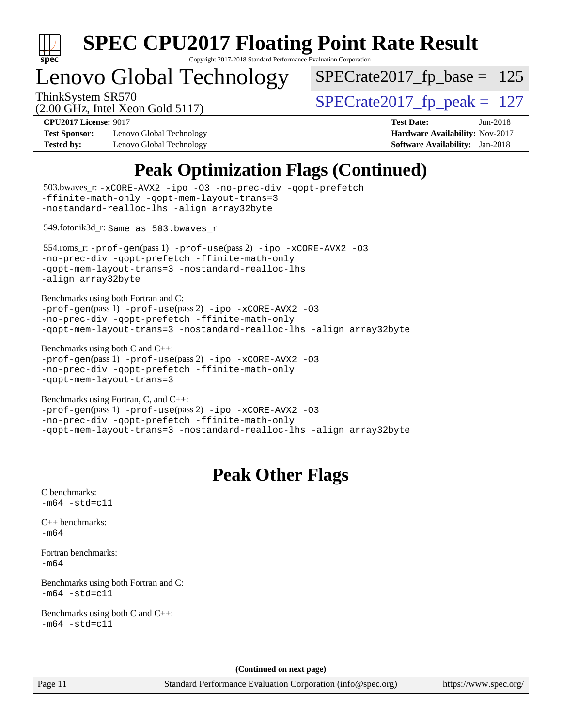

Copyright 2017-2018 Standard Performance Evaluation Corporation

# enovo Global Technology

ThinkSystem SR570<br>  $\text{SPECrate2017\_fp\_peak} = 127$  $SPECTate2017_fp\_base = 125$ 

(2.00 GHz, Intel Xeon Gold 5117)

**[Test Sponsor:](http://www.spec.org/auto/cpu2017/Docs/result-fields.html#TestSponsor)** Lenovo Global Technology **[Hardware Availability:](http://www.spec.org/auto/cpu2017/Docs/result-fields.html#HardwareAvailability)** Nov-2017 **[Tested by:](http://www.spec.org/auto/cpu2017/Docs/result-fields.html#Testedby)** Lenovo Global Technology **[Software Availability:](http://www.spec.org/auto/cpu2017/Docs/result-fields.html#SoftwareAvailability)** Jan-2018

**[CPU2017 License:](http://www.spec.org/auto/cpu2017/Docs/result-fields.html#CPU2017License)** 9017 **[Test Date:](http://www.spec.org/auto/cpu2017/Docs/result-fields.html#TestDate)** Jun-2018

## **[Peak Optimization Flags \(Continued\)](http://www.spec.org/auto/cpu2017/Docs/result-fields.html#PeakOptimizationFlags)**

```
(info@spec.org)https://www.spec.org/
  503.bwaves_r: -xCORE-AVX2 -ipo -O3 -no-prec-div -qopt-prefetch
-ffinite-math-only -qopt-mem-layout-trans=3
-nostandard-realloc-lhs -align array32byte
  549.fotonik3d_r: Same as 503.bwaves_r
  554.roms_r: -prof-gen(pass 1) -prof-use(pass 2) -ipo -xCORE-AVX2 -O3
-no-prec-div -qopt-prefetch -ffinite-math-only
-qopt-mem-layout-trans=3 -nostandard-realloc-lhs
-align array32byte
Benchmarks using both Fortran and C: 
-prof-gen(pass 1) -prof-use(pass 2) -ipo -xCORE-AVX2 -O3
-no-prec-div -qopt-prefetch -ffinite-math-only
-qopt-mem-layout-trans=3 -nostandard-realloc-lhs -align array32byte
Benchmarks using both C and C++: 
-prof-gen(pass 1) -prof-use(pass 2) -ipo -xCORE-AVX2 -O3
-no-prec-div -qopt-prefetch -ffinite-math-only
-qopt-mem-layout-trans=3
Benchmarks using Fortran, C, and C++: 
-prof-gen(pass 1) -prof-use(pass 2) -ipo -xCORE-AVX2 -O3
-no-prec-div -qopt-prefetch -ffinite-math-only
-qopt-mem-layout-trans=3 -nostandard-realloc-lhs -align array32byte
                                 Peak Other Flags
C benchmarks: 
-m64 - std= c11C++ benchmarks: 
-m64Fortran benchmarks: 
-m64
Benchmarks using both Fortran and C: 
-m64 - std= c11Benchmarks using both C and C++: 
-m64 - std= c11(Continued on next page)
```